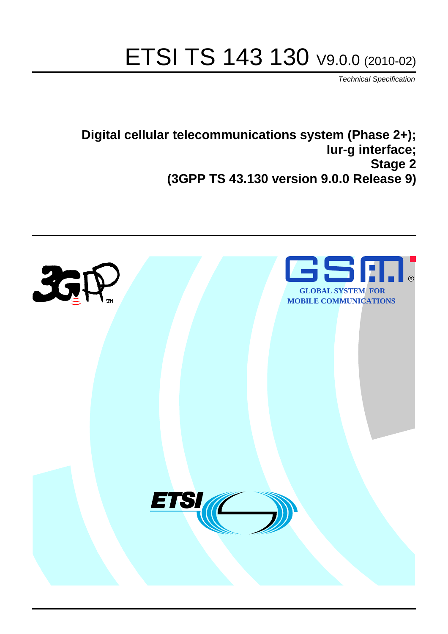# ETSI TS 143 130 V9.0.0 (2010-02)

*Technical Specification*

**Digital cellular telecommunications system (Phase 2+); Iur-g interface; Stage 2 (3GPP TS 43.130 version 9.0.0 Release 9)**

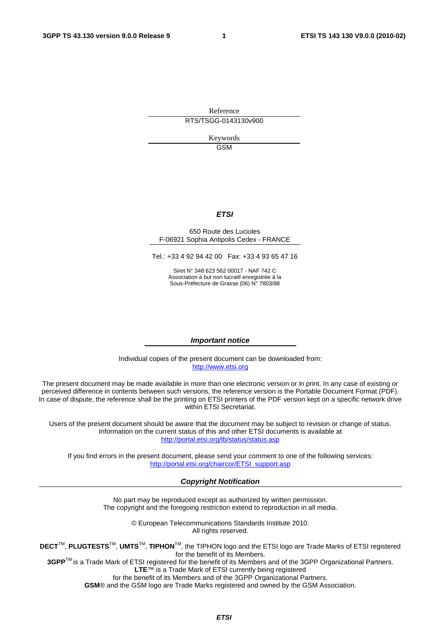Reference RTS/TSGG-0143130v900

> Keywords GSM

#### *ETSI*

#### 650 Route des Lucioles F-06921 Sophia Antipolis Cedex - FRANCE

Tel.: +33 4 92 94 42 00 Fax: +33 4 93 65 47 16

Siret N° 348 623 562 00017 - NAF 742 C Association à but non lucratif enregistrée à la Sous-Préfecture de Grasse (06) N° 7803/88

#### *Important notice*

Individual copies of the present document can be downloaded from: [http://www.etsi.org](http://www.etsi.org/)

The present document may be made available in more than one electronic version or in print. In any case of existing or perceived difference in contents between such versions, the reference version is the Portable Document Format (PDF). In case of dispute, the reference shall be the printing on ETSI printers of the PDF version kept on a specific network drive within ETSI Secretariat.

Users of the present document should be aware that the document may be subject to revision or change of status. Information on the current status of this and other ETSI documents is available at <http://portal.etsi.org/tb/status/status.asp>

If you find errors in the present document, please send your comment to one of the following services: [http://portal.etsi.org/chaircor/ETSI\\_support.asp](http://portal.etsi.org/chaircor/ETSI_support.asp)

#### *Copyright Notification*

No part may be reproduced except as authorized by written permission. The copyright and the foregoing restriction extend to reproduction in all media.

> © European Telecommunications Standards Institute 2010. All rights reserved.

**DECT**TM, **PLUGTESTS**TM, **UMTS**TM, **TIPHON**TM, the TIPHON logo and the ETSI logo are Trade Marks of ETSI registered for the benefit of its Members.

**3GPP**TM is a Trade Mark of ETSI registered for the benefit of its Members and of the 3GPP Organizational Partners. **LTE**™ is a Trade Mark of ETSI currently being registered

for the benefit of its Members and of the 3GPP Organizational Partners.

**GSM**® and the GSM logo are Trade Marks registered and owned by the GSM Association.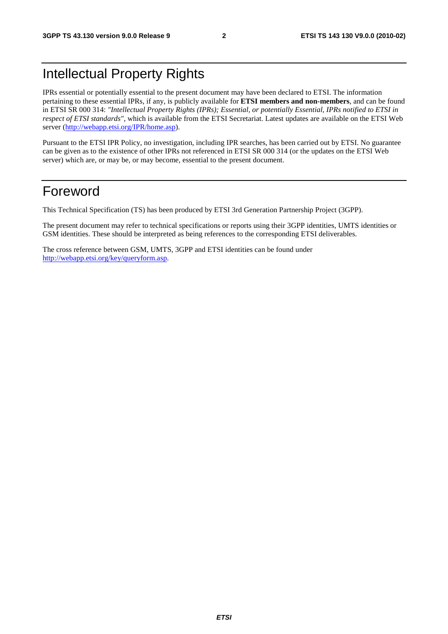# Intellectual Property Rights

IPRs essential or potentially essential to the present document may have been declared to ETSI. The information pertaining to these essential IPRs, if any, is publicly available for **ETSI members and non-members**, and can be found in ETSI SR 000 314: *"Intellectual Property Rights (IPRs); Essential, or potentially Essential, IPRs notified to ETSI in respect of ETSI standards"*, which is available from the ETSI Secretariat. Latest updates are available on the ETSI Web server [\(http://webapp.etsi.org/IPR/home.asp](http://webapp.etsi.org/IPR/home.asp)).

Pursuant to the ETSI IPR Policy, no investigation, including IPR searches, has been carried out by ETSI. No guarantee can be given as to the existence of other IPRs not referenced in ETSI SR 000 314 (or the updates on the ETSI Web server) which are, or may be, or may become, essential to the present document.

# Foreword

This Technical Specification (TS) has been produced by ETSI 3rd Generation Partnership Project (3GPP).

The present document may refer to technical specifications or reports using their 3GPP identities, UMTS identities or GSM identities. These should be interpreted as being references to the corresponding ETSI deliverables.

The cross reference between GSM, UMTS, 3GPP and ETSI identities can be found under <http://webapp.etsi.org/key/queryform.asp>.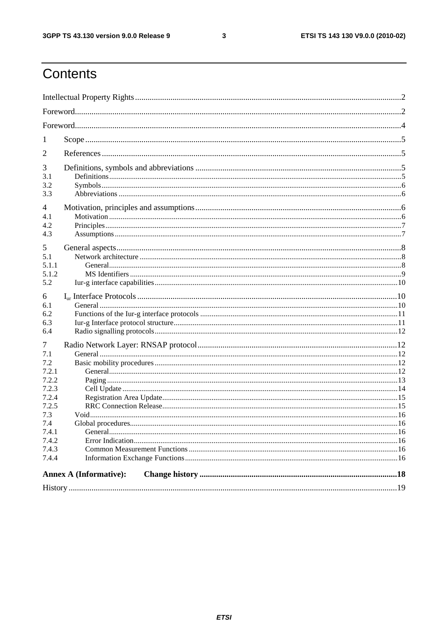$\mathbf{3}$ 

# Contents

| 1                                                                                                              |                               |  |  |  |
|----------------------------------------------------------------------------------------------------------------|-------------------------------|--|--|--|
| 2                                                                                                              |                               |  |  |  |
| 3<br>3.1<br>3.2<br>3.3                                                                                         |                               |  |  |  |
| 4<br>4.1<br>4.2<br>4.3                                                                                         |                               |  |  |  |
| 5<br>5.1<br>5.1.1<br>5.1.2<br>5.2                                                                              |                               |  |  |  |
| 6<br>6.1<br>6.2<br>6.3<br>6.4                                                                                  |                               |  |  |  |
| 7<br>7.1<br>7.2<br>7.2.1<br>7.2.2<br>7.2.3<br>7.2.4<br>7.2.5<br>7.3<br>7.4<br>7.4.1<br>7.4.2<br>7.4.3<br>7.4.4 |                               |  |  |  |
|                                                                                                                | <b>Annex A (Informative):</b> |  |  |  |
|                                                                                                                |                               |  |  |  |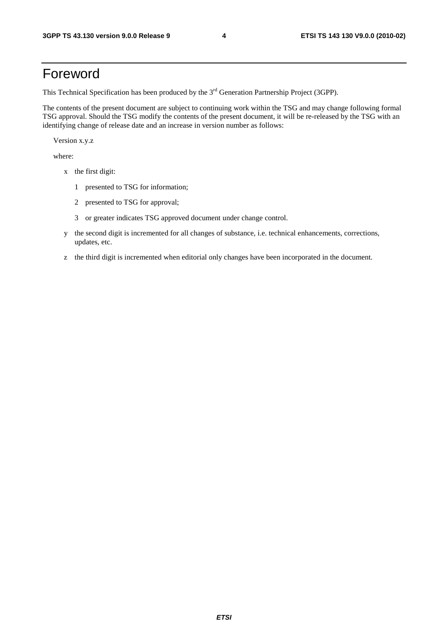# Foreword

This Technical Specification has been produced by the 3<sup>rd</sup> Generation Partnership Project (3GPP).

The contents of the present document are subject to continuing work within the TSG and may change following formal TSG approval. Should the TSG modify the contents of the present document, it will be re-released by the TSG with an identifying change of release date and an increase in version number as follows:

Version x.y.z

where:

- x the first digit:
	- 1 presented to TSG for information;
	- 2 presented to TSG for approval;
	- 3 or greater indicates TSG approved document under change control.
- y the second digit is incremented for all changes of substance, i.e. technical enhancements, corrections, updates, etc.
- z the third digit is incremented when editorial only changes have been incorporated in the document.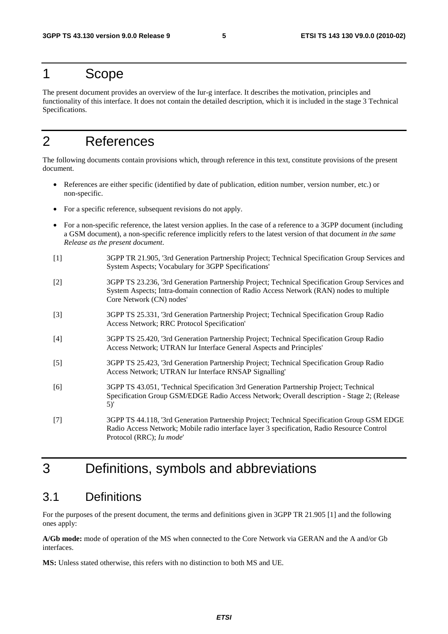# 1 Scope

The present document provides an overview of the Iur-g interface. It describes the motivation, principles and functionality of this interface. It does not contain the detailed description, which it is included in the stage 3 Technical Specifications.

# 2 References

The following documents contain provisions which, through reference in this text, constitute provisions of the present document.

- References are either specific (identified by date of publication, edition number, version number, etc.) or non-specific.
- For a specific reference, subsequent revisions do not apply.
- For a non-specific reference, the latest version applies. In the case of a reference to a 3GPP document (including a GSM document), a non-specific reference implicitly refers to the latest version of that document *in the same Release as the present document*.
- [1] 3GPP TR 21.905, '3rd Generation Partnership Project; Technical Specification Group Services and System Aspects; Vocabulary for 3GPP Specifications'
- [2] 3GPP TS 23.236, '3rd Generation Partnership Project; Technical Specification Group Services and System Aspects; Intra-domain connection of Radio Access Network (RAN) nodes to multiple Core Network (CN) nodes'
- [3] 3GPP TS 25.331, '3rd Generation Partnership Project; Technical Specification Group Radio Access Network; RRC Protocol Specification'
- [4] 3GPP TS 25.420, '3rd Generation Partnership Project; Technical Specification Group Radio Access Network; UTRAN Iur Interface General Aspects and Principles'
- [5] 3GPP TS 25.423, '3rd Generation Partnership Project; Technical Specification Group Radio Access Network; UTRAN Iur Interface RNSAP Signalling'
- [6] 3GPP TS 43.051, 'Technical Specification 3rd Generation Partnership Project; Technical Specification Group GSM/EDGE Radio Access Network; Overall description - Stage 2; (Release 5)'
- [7] 3GPP TS 44.118, '3rd Generation Partnership Project; Technical Specification Group GSM EDGE Radio Access Network; Mobile radio interface layer 3 specification, Radio Resource Control Protocol (RRC); *Iu mode*'

# 3 Definitions, symbols and abbreviations

# 3.1 Definitions

For the purposes of the present document, the terms and definitions given in 3GPP TR 21.905 [1] and the following ones apply:

**A/Gb mode:** mode of operation of the MS when connected to the Core Network via GERAN and the A and/or Gb interfaces.

**MS:** Unless stated otherwise, this refers with no distinction to both MS and UE.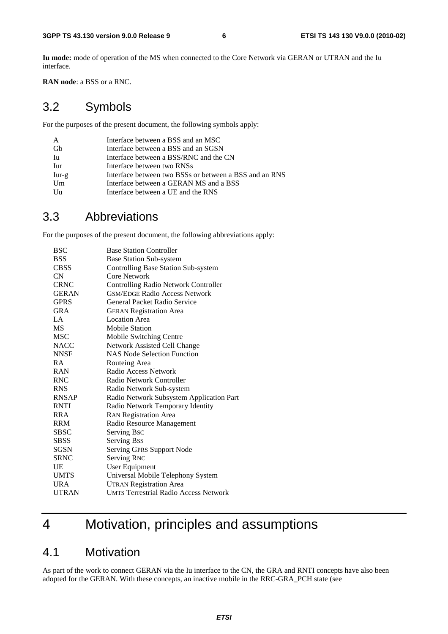**Iu mode:** mode of operation of the MS when connected to the Core Network via GERAN or UTRAN and the Iu interface.

**RAN node**: a BSS or a RNC.

# 3.2 Symbols

For the purposes of the present document, the following symbols apply:

| Interface between a BSS and an MSC                     |
|--------------------------------------------------------|
| Interface between a BSS and an SGSN                    |
| Interface between a BSS/RNC and the CN                 |
| Interface between two RNSs                             |
| Interface between two BSSs or between a BSS and an RNS |
| Interface between a GERAN MS and a BSS                 |
| Interface between a UE and the RNS                     |
|                                                        |

# 3.3 Abbreviations

For the purposes of the present document, the following abbreviations apply:

| <b>BSC</b>   | <b>Base Station Controller</b>               |
|--------------|----------------------------------------------|
| <b>BSS</b>   | <b>Base Station Sub-system</b>               |
| <b>CBSS</b>  | Controlling Base Station Sub-system          |
| CN           | Core Network                                 |
| <b>CRNC</b>  | Controlling Radio Network Controller         |
| <b>GERAN</b> | <b>GSM/EDGE Radio Access Network</b>         |
| <b>GPRS</b>  | General Packet Radio Service                 |
| GRA          | <b>GERAN Registration Area</b>               |
| LA           | <b>Location Area</b>                         |
| <b>MS</b>    | <b>Mobile Station</b>                        |
| <b>MSC</b>   | Mobile Switching Centre                      |
| <b>NACC</b>  | Network Assisted Cell Change                 |
| <b>NNSF</b>  | <b>NAS Node Selection Function</b>           |
| <b>RA</b>    | Routeing Area                                |
| <b>RAN</b>   | Radio Access Network                         |
| <b>RNC</b>   | Radio Network Controller                     |
| <b>RNS</b>   | Radio Network Sub-system                     |
| <b>RNSAP</b> | Radio Network Subsystem Application Part     |
| <b>RNTI</b>  | Radio Network Temporary Identity             |
| <b>RRA</b>   | <b>RAN Registration Area</b>                 |
| <b>RRM</b>   | Radio Resource Management                    |
| <b>SBSC</b>  | Serving Bsc                                  |
| <b>SBSS</b>  | <b>Serving Bss</b>                           |
| <b>SGSN</b>  | Serving GPRS Support Node                    |
| <b>SRNC</b>  | <b>Serving RNC</b>                           |
| UE           | <b>User Equipment</b>                        |
| <b>UMTS</b>  | Universal Mobile Telephony System            |
| <b>URA</b>   | <b>UTRAN Registration Area</b>               |
| <b>UTRAN</b> | <b>UMTS Terrestrial Radio Access Network</b> |
|              |                                              |

# 4 Motivation, principles and assumptions

# 4.1 Motivation

As part of the work to connect GERAN via the Iu interface to the CN, the GRA and RNTI concepts have also been adopted for the GERAN. With these concepts, an inactive mobile in the RRC-GRA\_PCH state (see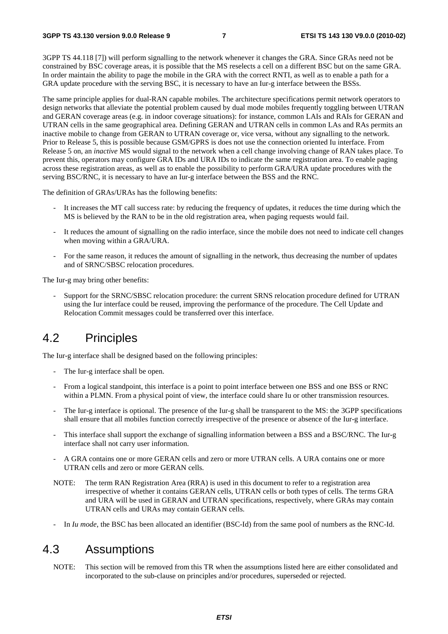3GPP TS 44.118 [7]) will perform signalling to the network whenever it changes the GRA. Since GRAs need not be constrained by BSC coverage areas, it is possible that the MS reselects a cell on a different BSC but on the same GRA. In order maintain the ability to page the mobile in the GRA with the correct RNTI, as well as to enable a path for a GRA update procedure with the serving BSC, it is necessary to have an Iur-g interface between the BSSs.

The same principle applies for dual-RAN capable mobiles. The architecture specifications permit network operators to design networks that alleviate the potential problem caused by dual mode mobiles frequently toggling between UTRAN and GERAN coverage areas (e.g. in indoor coverage situations): for instance, common LAIs and RAIs for GERAN and UTRAN cells in the same geographical area. Defining GERAN and UTRAN cells in common LAs and RAs permits an inactive mobile to change from GERAN to UTRAN coverage or, vice versa, without any signalling to the network. Prior to Release 5, this is possible because GSM/GPRS is does not use the connection oriented Iu interface. From Release 5 on, an *inactive* MS would signal to the network when a cell change involving change of RAN takes place. To prevent this, operators may configure GRA IDs and URA IDs to indicate the same registration area. To enable paging across these registration areas, as well as to enable the possibility to perform GRA/URA update procedures with the serving BSC/RNC, it is necessary to have an Iur-g interface between the BSS and the RNC.

The definition of GRAs/URAs has the following benefits:

- It increases the MT call success rate: by reducing the frequency of updates, it reduces the time during which the MS is believed by the RAN to be in the old registration area, when paging requests would fail.
- It reduces the amount of signalling on the radio interface, since the mobile does not need to indicate cell changes when moving within a GRA/URA.
- For the same reason, it reduces the amount of signalling in the network, thus decreasing the number of updates and of SRNC/SBSC relocation procedures.

The Iur-g may bring other benefits:

- Support for the SRNC/SBSC relocation procedure: the current SRNS relocation procedure defined for UTRAN using the Iur interface could be reused, improving the performance of the procedure. The Cell Update and Relocation Commit messages could be transferred over this interface.

# 4.2 Principles

The Iur-g interface shall be designed based on the following principles:

- The Iur-g interface shall be open.
- From a logical standpoint, this interface is a point to point interface between one BSS and one BSS or RNC within a PLMN. From a physical point of view, the interface could share Iu or other transmission resources.
- The Iur-g interface is optional. The presence of the Iur-g shall be transparent to the MS: the 3GPP specifications shall ensure that all mobiles function correctly irrespective of the presence or absence of the Iur-g interface.
- This interface shall support the exchange of signalling information between a BSS and a BSC/RNC. The Iur-g interface shall not carry user information.
- A GRA contains one or more GERAN cells and zero or more UTRAN cells. A URA contains one or more UTRAN cells and zero or more GERAN cells.
- NOTE: The term RAN Registration Area (RRA) is used in this document to refer to a registration area irrespective of whether it contains GERAN cells, UTRAN cells or both types of cells. The terms GRA and URA will be used in GERAN and UTRAN specifications, respectively, where GRAs may contain UTRAN cells and URAs may contain GERAN cells.
- In *Iu mode*, the BSC has been allocated an identifier (BSC-Id) from the same pool of numbers as the RNC-Id.

# 4.3 Assumptions

NOTE: This section will be removed from this TR when the assumptions listed here are either consolidated and incorporated to the sub-clause on principles and/or procedures, superseded or rejected.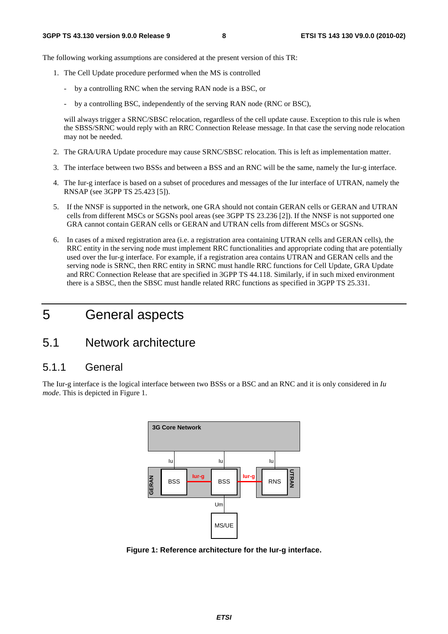The following working assumptions are considered at the present version of this TR:

- 1. The Cell Update procedure performed when the MS is controlled
	- by a controlling RNC when the serving RAN node is a BSC, or
	- by a controlling BSC, independently of the serving RAN node (RNC or BSC),

will always trigger a SRNC/SBSC relocation, regardless of the cell update cause. Exception to this rule is when the SBSS/SRNC would reply with an RRC Connection Release message. In that case the serving node relocation may not be needed.

- 2. The GRA/URA Update procedure may cause SRNC/SBSC relocation. This is left as implementation matter.
- 3. The interface between two BSSs and between a BSS and an RNC will be the same, namely the Iur-g interface.
- 4. The Iur-g interface is based on a subset of procedures and messages of the Iur interface of UTRAN, namely the RNSAP (see 3GPP TS 25.423 [5]).
- 5. If the NNSF is supported in the network, one GRA should not contain GERAN cells or GERAN and UTRAN cells from different MSCs or SGSNs pool areas (see 3GPP TS 23.236 [2]). If the NNSF is not supported one GRA cannot contain GERAN cells or GERAN and UTRAN cells from different MSCs or SGSNs.
- 6. In cases of a mixed registration area (i.e. a registration area containing UTRAN cells and GERAN cells), the RRC entity in the serving node must implement RRC functionalities and appropriate coding that are potentially used over the Iur-g interface. For example, if a registration area contains UTRAN and GERAN cells and the serving node is SRNC, then RRC entity in SRNC must handle RRC functions for Cell Update, GRA Update and RRC Connection Release that are specified in 3GPP TS 44.118. Similarly, if in such mixed environment there is a SBSC, then the SBSC must handle related RRC functions as specified in 3GPP TS 25.331.

# 5 General aspects

# 5.1 Network architecture

### 5.1.1 General

The Iur-g interface is the logical interface between two BSSs or a BSC and an RNC and it is only considered in *Iu mode*. This is depicted in Figure 1.



**Figure 1: Reference architecture for the Iur-g interface.**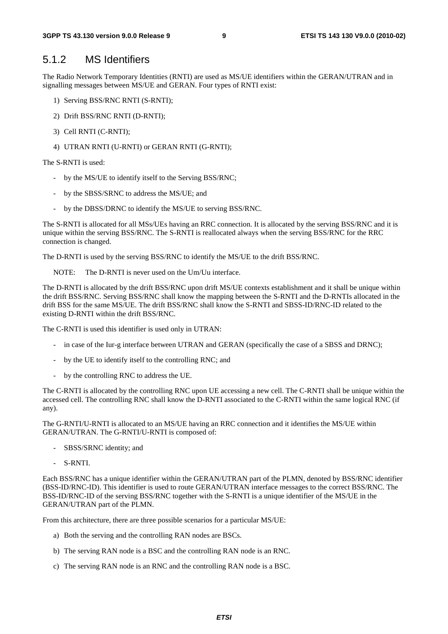#### 5.1.2 MS Identifiers

The Radio Network Temporary Identities (RNTI) are used as MS/UE identifiers within the GERAN/UTRAN and in signalling messages between MS/UE and GERAN. Four types of RNTI exist:

- 1) Serving BSS/RNC RNTI (S-RNTI);
- 2) Drift BSS/RNC RNTI (D-RNTI);
- 3) Cell RNTI (C-RNTI);
- 4) UTRAN RNTI (U-RNTI) or GERAN RNTI (G-RNTI);

The S-RNTI is used:

- by the MS/UE to identify itself to the Serving BSS/RNC;
- by the SBSS/SRNC to address the MS/UE; and
- by the DBSS/DRNC to identify the MS/UE to serving BSS/RNC.

The S-RNTI is allocated for all MSs/UEs having an RRC connection. It is allocated by the serving BSS/RNC and it is unique within the serving BSS/RNC. The S-RNTI is reallocated always when the serving BSS/RNC for the RRC connection is changed.

The D-RNTI is used by the serving BSS/RNC to identify the MS/UE to the drift BSS/RNC.

NOTE: The D-RNTI is never used on the Um/Uu interface.

The D-RNTI is allocated by the drift BSS/RNC upon drift MS/UE contexts establishment and it shall be unique within the drift BSS/RNC. Serving BSS/RNC shall know the mapping between the S-RNTI and the D-RNTIs allocated in the drift BSS for the same MS/UE. The drift BSS/RNC shall know the S-RNTI and SBSS-ID/RNC-ID related to the existing D-RNTI within the drift BSS/RNC.

The C-RNTI is used this identifier is used only in UTRAN:

- in case of the Iur-g interface between UTRAN and GERAN (specifically the case of a SBSS and DRNC);
- by the UE to identify itself to the controlling RNC; and
- by the controlling RNC to address the UE.

The C-RNTI is allocated by the controlling RNC upon UE accessing a new cell. The C-RNTI shall be unique within the accessed cell. The controlling RNC shall know the D-RNTI associated to the C-RNTI within the same logical RNC (if any).

The G-RNTI/U-RNTI is allocated to an MS/UE having an RRC connection and it identifies the MS/UE within GERAN/UTRAN. The G-RNTI/U-RNTI is composed of:

- SBSS/SRNC identity; and
- S-RNTI.

Each BSS/RNC has a unique identifier within the GERAN/UTRAN part of the PLMN, denoted by BSS/RNC identifier (BSS-ID/RNC-ID). This identifier is used to route GERAN/UTRAN interface messages to the correct BSS/RNC. The BSS-ID/RNC-ID of the serving BSS/RNC together with the S-RNTI is a unique identifier of the MS/UE in the GERAN/UTRAN part of the PLMN.

From this architecture, there are three possible scenarios for a particular MS/UE:

- a) Both the serving and the controlling RAN nodes are BSCs.
- b) The serving RAN node is a BSC and the controlling RAN node is an RNC.
- c) The serving RAN node is an RNC and the controlling RAN node is a BSC.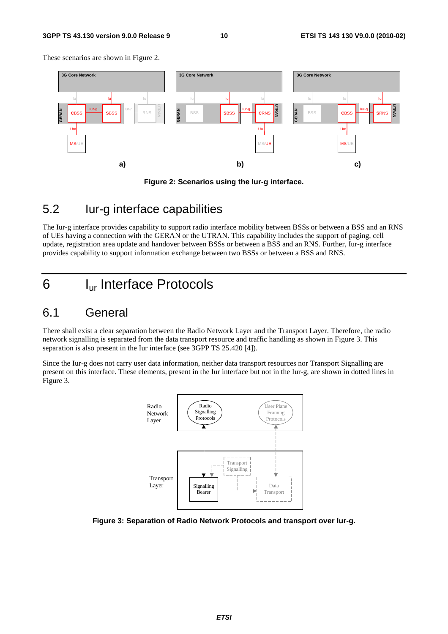#### **3GPP TS 43.130 version 9.0.0 Release 9 10 ETSI TS 143 130 V9.0.0 (2010-02)**

These scenarios are shown in Figure 2.



#### **Figure 2: Scenarios using the Iur-g interface.**

# 5.2 Iur-g interface capabilities

The Iur-g interface provides capability to support radio interface mobility between BSSs or between a BSS and an RNS of UEs having a connection with the GERAN or the UTRAN. This capability includes the support of paging, cell update, registration area update and handover between BSSs or between a BSS and an RNS. Further, Iur-g interface provides capability to support information exchange between two BSSs or between a BSS and RNS.

# 6 Iur Interface Protocols

# 6.1 General

There shall exist a clear separation between the Radio Network Layer and the Transport Layer. Therefore, the radio network signalling is separated from the data transport resource and traffic handling as shown in Figure 3. This separation is also present in the Iur interface (see 3GPP TS 25.420 [4]).

Since the Iur-g does not carry user data information, neither data transport resources nor Transport Signalling are present on this interface. These elements, present in the Iur interface but not in the Iur-g, are shown in dotted lines in Figure 3.



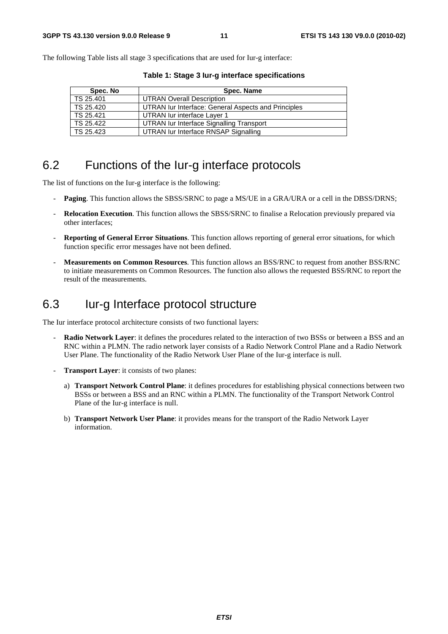The following Table lists all stage 3 specifications that are used for Iur-g interface:

| Spec. No  | Spec. Name                                          |
|-----------|-----------------------------------------------------|
| TS 25.401 | <b>UTRAN Overall Description</b>                    |
| TS 25.420 | UTRAN Iur Interface: General Aspects and Principles |
| TS 25.421 | UTRAN lur interface Layer 1                         |
| TS 25.422 | UTRAN Iur Interface Signalling Transport            |
| TS 25.423 | UTRAN lur Interface RNSAP Signalling                |

**Table 1: Stage 3 Iur-g interface specifications** 

# 6.2 Functions of the Iur-g interface protocols

The list of functions on the Iur-g interface is the following:

- **Paging**. This function allows the SBSS/SRNC to page a MS/UE in a GRA/URA or a cell in the DBSS/DRNS;
- **Relocation Execution**. This function allows the SBSS/SRNC to finalise a Relocation previously prepared via other interfaces;
- **Reporting of General Error Situations**. This function allows reporting of general error situations, for which function specific error messages have not been defined.
- **Measurements on Common Resources**. This function allows an BSS/RNC to request from another BSS/RNC to initiate measurements on Common Resources. The function also allows the requested BSS/RNC to report the result of the measurements.

# 6.3 Iur-g Interface protocol structure

The Iur interface protocol architecture consists of two functional layers:

- **Radio Network Layer**: it defines the procedures related to the interaction of two BSSs or between a BSS and an RNC within a PLMN. The radio network layer consists of a Radio Network Control Plane and a Radio Network User Plane. The functionality of the Radio Network User Plane of the Iur-g interface is null.
- **Transport Layer:** it consists of two planes:
	- a) **Transport Network Control Plane**: it defines procedures for establishing physical connections between two BSSs or between a BSS and an RNC within a PLMN. The functionality of the Transport Network Control Plane of the Iur-g interface is null.
	- b) **Transport Network User Plane**: it provides means for the transport of the Radio Network Layer information.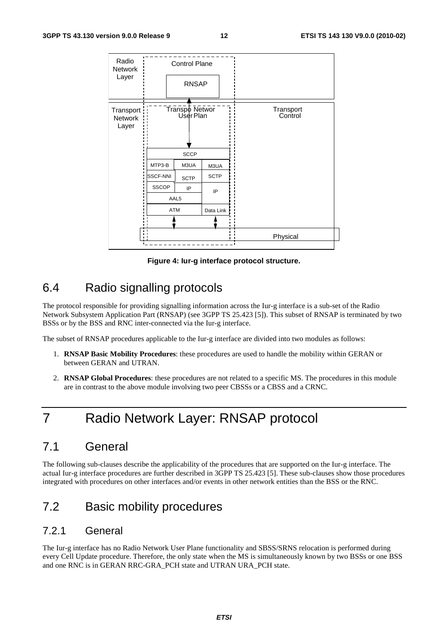| Radio<br>Network                      |                 | <b>Control Plane</b>        |             |                      |
|---------------------------------------|-----------------|-----------------------------|-------------|----------------------|
| Layer                                 |                 | <b>RNSAP</b>                |             |                      |
| Transport:<br><b>Network</b><br>Layer |                 | Transpo Networ<br>User Plan |             | Transport<br>Control |
|                                       |                 | <b>SCCP</b>                 |             |                      |
|                                       | MTP3-B          | M3UA                        |             |                      |
|                                       | <b>SSCF-NNI</b> | <b>SCTP</b>                 | <b>SCTP</b> |                      |
|                                       | <b>SSCOP</b>    | IP                          | IP          |                      |
|                                       |                 | AAL5                        |             |                      |
|                                       |                 | <b>ATM</b>                  | Data Link   |                      |
|                                       |                 |                             |             |                      |
| $\blacksquare$                        |                 |                             |             | Physical             |
|                                       |                 |                             |             |                      |

**Figure 4: Iur-g interface protocol structure.** 

# 6.4 Radio signalling protocols

The protocol responsible for providing signalling information across the Iur-g interface is a sub-set of the Radio Network Subsystem Application Part (RNSAP) (see 3GPP TS 25.423 [5]). This subset of RNSAP is terminated by two BSSs or by the BSS and RNC inter-connected via the Iur-g interface.

The subset of RNSAP procedures applicable to the Iur-g interface are divided into two modules as follows:

- 1. **RNSAP Basic Mobility Procedures**: these procedures are used to handle the mobility within GERAN or between GERAN and UTRAN.
- 2. **RNSAP Global Procedures**: these procedures are not related to a specific MS. The procedures in this module are in contrast to the above module involving two peer CBSSs or a CBSS and a CRNC.

# 7 Radio Network Layer: RNSAP protocol

# 7.1 General

The following sub-clauses describe the applicability of the procedures that are supported on the Iur-g interface. The actual Iur-g interface procedures are further described in 3GPP TS 25.423 [5]. These sub-clauses show those procedures integrated with procedures on other interfaces and/or events in other network entities than the BSS or the RNC.

# 7.2 Basic mobility procedures

### 7.2.1 General

The Iur-g interface has no Radio Network User Plane functionality and SBSS/SRNS relocation is performed during every Cell Update procedure. Therefore, the only state when the MS is simultaneously known by two BSSs or one BSS and one RNC is in GERAN RRC-GRA\_PCH state and UTRAN URA\_PCH state.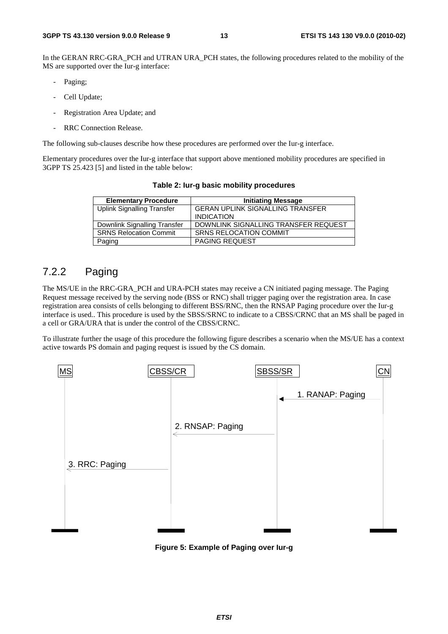In the GERAN RRC-GRA PCH and UTRAN URA PCH states, the following procedures related to the mobility of the MS are supported over the Iur-g interface:

- Paging;
- Cell Update;
- Registration Area Update; and
- RRC Connection Release.

The following sub-clauses describe how these procedures are performed over the Iur-g interface.

Elementary procedures over the Iur-g interface that support above mentioned mobility procedures are specified in 3GPP TS 25.423 [5] and listed in the table below:

| <b>Elementary Procedure</b>   | <b>Initiating Message</b>               |
|-------------------------------|-----------------------------------------|
| Uplink Signalling Transfer    | <b>GERAN UPLINK SIGNALLING TRANSFER</b> |
|                               | <b>INDICATION</b>                       |
| Downlink Signalling Transfer  | DOWNLINK SIGNALLING TRANSFER REQUEST    |
| <b>SRNS Relocation Commit</b> | <b>SRNS RELOCATION COMMIT</b>           |
| Paging                        | <b>PAGING REQUEST</b>                   |

**Table 2: Iur-g basic mobility procedures** 

#### 7.2.2 Paging

The MS/UE in the RRC-GRA\_PCH and URA-PCH states may receive a CN initiated paging message. The Paging Request message received by the serving node (BSS or RNC) shall trigger paging over the registration area. In case registration area consists of cells belonging to different BSS/RNC, then the RNSAP Paging procedure over the Iur-g interface is used.. This procedure is used by the SBSS/SRNC to indicate to a CBSS/CRNC that an MS shall be paged in a cell or GRA/URA that is under the control of the CBSS/CRNC.

To illustrate further the usage of this procedure the following figure describes a scenario when the MS/UE has a context active towards PS domain and paging request is issued by the CS domain.



**Figure 5: Example of Paging over Iur-g**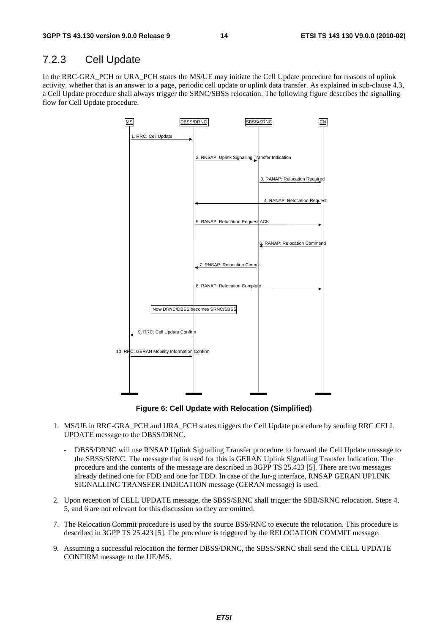### 7.2.3 Cell Update

In the RRC-GRA\_PCH or URA\_PCH states the MS/UE may initiate the Cell Update procedure for reasons of uplink activity, whether that is an answer to a page, periodic cell update or uplink data transfer. As explained in sub-clause 4.3, a Cell Update procedure shall always trigger the SRNC/SBSS relocation. The following figure describes the signalling flow for Cell Update procedure.



**Figure 6: Cell Update with Relocation (Simplified)** 

- 1. MS/UE in RRC-GRA\_PCH and URA\_PCH states triggers the Cell Update procedure by sending RRC CELL UPDATE message to the DBSS/DRNC.
	- DBSS/DRNC will use RNSAP Uplink Signalling Transfer procedure to forward the Cell Update message to the SBSS/SRNC. The message that is used for this is GERAN Uplink Signalling Transfer Indication. The procedure and the contents of the message are described in 3GPP TS 25.423 [5]. There are two messages already defined one for FDD and one for TDD. In case of the Iur-g interface, RNSAP GERAN UPLINK SIGNALLING TRANSFER INDICATION message (GERAN message) is used.
- 2. Upon reception of CELL UPDATE message, the SBSS/SRNC shall trigger the SBB/SRNC relocation. Steps 4, 5, and 6 are not relevant for this discussion so they are omitted.
- 7. The Relocation Commit procedure is used by the source BSS/RNC to execute the relocation. This procedure is described in 3GPP TS 25.423 [5]. The procedure is triggered by the RELOCATION COMMIT message.
- 9. Assuming a successful relocation the former DBSS/DRNC, the SBSS/SRNC shall send the CELL UPDATE CONFIRM message to the UE/MS.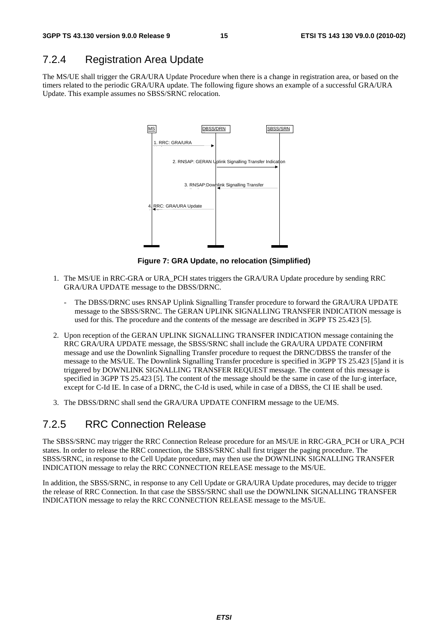## 7.2.4 Registration Area Update

The MS/UE shall trigger the GRA/URA Update Procedure when there is a change in registration area, or based on the timers related to the periodic GRA/URA update. The following figure shows an example of a successful GRA/URA Update. This example assumes no SBSS/SRNC relocation.



**Figure 7: GRA Update, no relocation (Simplified)** 

- 1. The MS/UE in RRC-GRA or URA\_PCH states triggers the GRA/URA Update procedure by sending RRC GRA/URA UPDATE message to the DBSS/DRNC.
	- The DBSS/DRNC uses RNSAP Uplink Signalling Transfer procedure to forward the GRA/URA UPDATE message to the SBSS/SRNC. The GERAN UPLINK SIGNALLING TRANSFER INDICATION message is used for this. The procedure and the contents of the message are described in 3GPP TS 25.423 [5].
- 2. Upon reception of the GERAN UPLINK SIGNALLING TRANSFER INDICATION message containing the RRC GRA/URA UPDATE message, the SBSS/SRNC shall include the GRA/URA UPDATE CONFIRM message and use the Downlink Signalling Transfer procedure to request the DRNC/DBSS the transfer of the message to the MS/UE. The Downlink Signalling Transfer procedure is specified in 3GPP TS 25.423 [5]and it is triggered by DOWNLINK SIGNALLING TRANSFER REQUEST message. The content of this message is specified in 3GPP TS 25.423 [5]. The content of the message should be the same in case of the Iur-g interface, except for C-Id IE. In case of a DRNC, the C-Id is used, while in case of a DBSS, the CI IE shall be used.
- 3. The DBSS/DRNC shall send the GRA/URA UPDATE CONFIRM message to the UE/MS.

## 7.2.5 RRC Connection Release

The SBSS/SRNC may trigger the RRC Connection Release procedure for an MS/UE in RRC-GRA\_PCH or URA\_PCH states. In order to release the RRC connection, the SBSS/SRNC shall first trigger the paging procedure. The SBSS/SRNC, in response to the Cell Update procedure, may then use the DOWNLINK SIGNALLING TRANSFER INDICATION message to relay the RRC CONNECTION RELEASE message to the MS/UE.

In addition, the SBSS/SRNC, in response to any Cell Update or GRA/URA Update procedures, may decide to trigger the release of RRC Connection. In that case the SBSS/SRNC shall use the DOWNLINK SIGNALLING TRANSFER INDICATION message to relay the RRC CONNECTION RELEASE message to the MS/UE.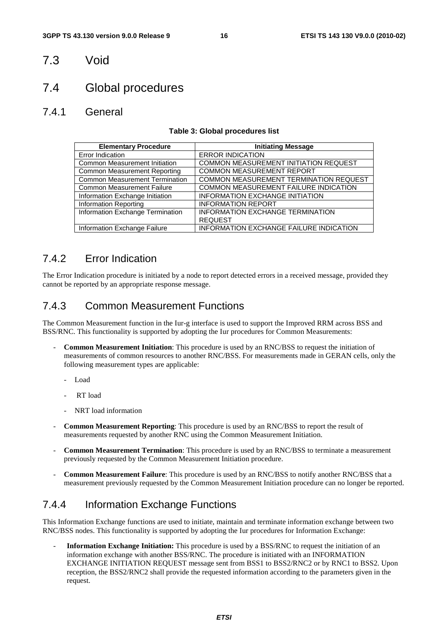## 7.3 Void

# 7.4 Global procedures

#### 7.4.1 General

#### **Table 3: Global procedures list**

| <b>Elementary Procedure</b>           | <b>Initiating Message</b>                      |
|---------------------------------------|------------------------------------------------|
| Error Indication                      | <b>ERROR INDICATION</b>                        |
| <b>Common Measurement Initiation</b>  | COMMON MEASUREMENT INITIATION REQUEST          |
| Common Measurement Reporting          | <b>COMMON MEASUREMENT REPORT</b>               |
| <b>Common Measurement Termination</b> | COMMON MEASUREMENT TERMINATION REQUEST         |
| <b>Common Measurement Failure</b>     | COMMON MEASUREMENT FAILURE INDICATION          |
| Information Exchange Initiation       | <b>INFORMATION EXCHANGE INITIATION</b>         |
| <b>Information Reporting</b>          | <b>INFORMATION REPORT</b>                      |
| Information Exchange Termination      | <b>INFORMATION EXCHANGE TERMINATION</b>        |
|                                       | <b>REQUEST</b>                                 |
| Information Exchange Failure          | <b>INFORMATION EXCHANGE FAILURE INDICATION</b> |

## 7.4.2 Error Indication

The Error Indication procedure is initiated by a node to report detected errors in a received message, provided they cannot be reported by an appropriate response message.

## 7.4.3 Common Measurement Functions

The Common Measurement function in the Iur-g interface is used to support the Improved RRM across BSS and BSS/RNC. This functionality is supported by adopting the Iur procedures for Common Measurements:

- **Common Measurement Initiation**: This procedure is used by an RNC/BSS to request the initiation of measurements of common resources to another RNC/BSS. For measurements made in GERAN cells, only the following measurement types are applicable:
	- Load
	- RT load
	- NRT load information
- **Common Measurement Reporting**: This procedure is used by an RNC/BSS to report the result of measurements requested by another RNC using the Common Measurement Initiation.
- **Common Measurement Termination**: This procedure is used by an RNC/BSS to terminate a measurement previously requested by the Common Measurement Initiation procedure.
- **Common Measurement Failure**: This procedure is used by an RNC/BSS to notify another RNC/BSS that a measurement previously requested by the Common Measurement Initiation procedure can no longer be reported.

## 7.4.4 Information Exchange Functions

This Information Exchange functions are used to initiate, maintain and terminate information exchange between two RNC/BSS nodes. This functionality is supported by adopting the Iur procedures for Information Exchange:

- **Information Exchange Initiation:** This procedure is used by a BSS/RNC to request the initiation of an information exchange with another BSS/RNC. The procedure is initiated with an INFORMATION EXCHANGE INITIATION REQUEST message sent from BSS1 to BSS2/RNC2 or by RNC1 to BSS2. Upon reception, the BSS2/RNC2 shall provide the requested information according to the parameters given in the request.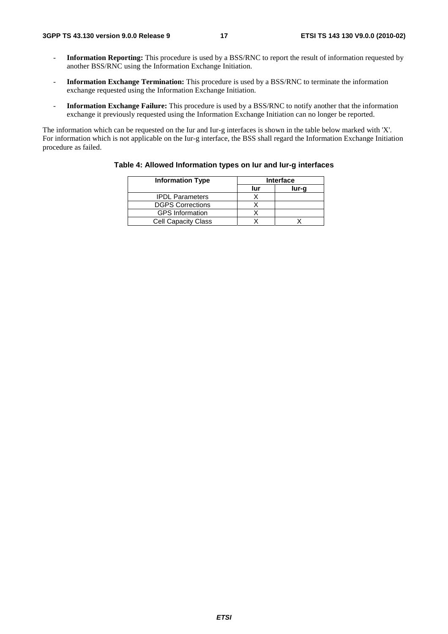- **Information Reporting:** This procedure is used by a BSS/RNC to report the result of information requested by another BSS/RNC using the Information Exchange Initiation.
- **Information Exchange Termination:** This procedure is used by a BSS/RNC to terminate the information exchange requested using the Information Exchange Initiation.
- **Information Exchange Failure:** This procedure is used by a BSS/RNC to notify another that the information exchange it previously requested using the Information Exchange Initiation can no longer be reported.

The information which can be requested on the Iur and Iur-g interfaces is shown in the table below marked with 'X'. For information which is not applicable on the Iur-g interface, the BSS shall regard the Information Exchange Initiation procedure as failed.

| <b>Information Type</b><br><b>Interface</b> |     |       |  |  |
|---------------------------------------------|-----|-------|--|--|
|                                             | lur | lur-g |  |  |
| <b>IPDL Parameters</b>                      |     |       |  |  |
| <b>DGPS Corrections</b>                     |     |       |  |  |
| <b>GPS</b> Information                      |     |       |  |  |
| <b>Cell Capacity Class</b>                  |     |       |  |  |

#### **Table 4: Allowed Information types on Iur and Iur-g interfaces**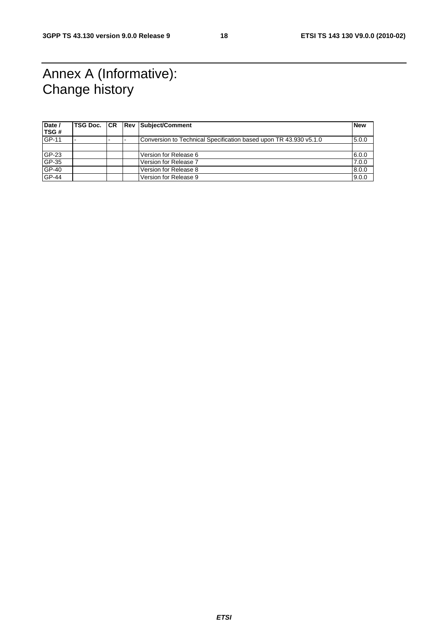# Annex A (Informative): Change history

| Date /       |  | <b>TSG Doc. CR Rev Subject/Comment</b>                            | <b>New</b> |
|--------------|--|-------------------------------------------------------------------|------------|
| TSG#         |  |                                                                   |            |
| <b>GP-11</b> |  | Conversion to Technical Specification based upon TR 43.930 v5.1.0 | 5.0.0      |
|              |  |                                                                   |            |
| GP-23        |  | Version for Release 6                                             | 6.0.0      |
| GP-35        |  | Version for Release 7                                             | 7.0.0      |
| $GP-40$      |  | Version for Release 8                                             | 8.0.0      |
| <b>GP-44</b> |  | Version for Release 9                                             | 9.0.0      |